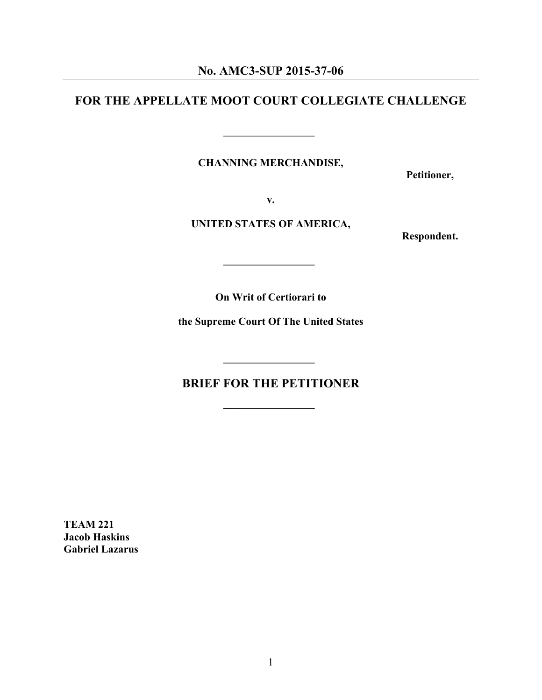### **No. AMC3-SUP 2015-37-06**

## **FOR THE APPELLATE MOOT COURT COLLEGIATE CHALLENGE**

**CHANNING MERCHANDISE,**

**Petitioner,**

**v.**

### **UNITED STATES OF AMERICA,**

**Respondent.**

**On Writ of Certiorari to**

**the Supreme Court Of The United States**

## **BRIEF FOR THE PETITIONER**

**TEAM 221 Jacob Haskins Gabriel Lazarus**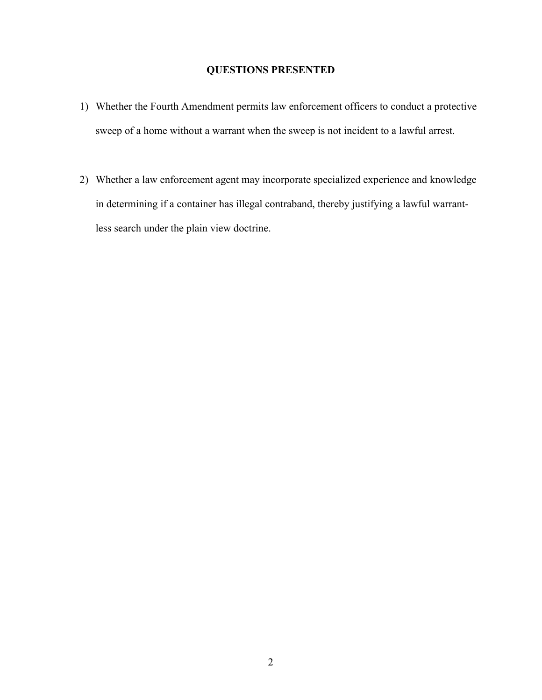### **QUESTIONS PRESENTED**

- 1) Whether the Fourth Amendment permits law enforcement officers to conduct a protective sweep of a home without a warrant when the sweep is not incident to a lawful arrest.
- 2) Whether a law enforcement agent may incorporate specialized experience and knowledge in determining if a container has illegal contraband, thereby justifying a lawful warrantless search under the plain view doctrine.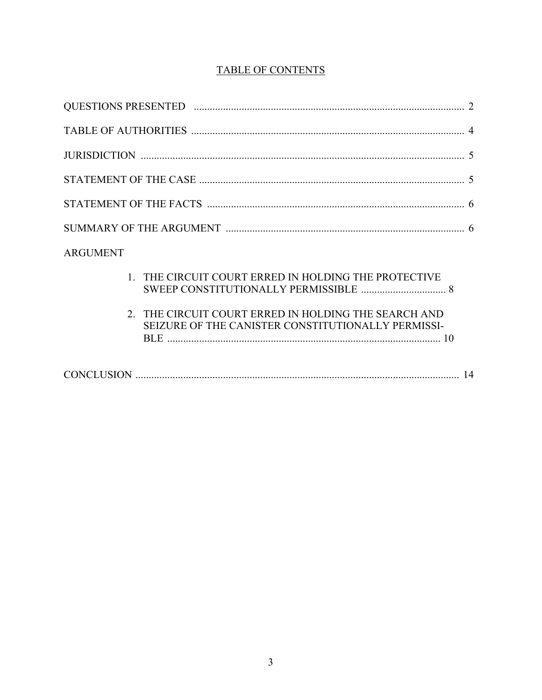## **TABLE OF CONTENTS**

| <b>ARGUMENT</b>                                                                                                        |
|------------------------------------------------------------------------------------------------------------------------|
| 1. THE CIRCUIT COURT ERRED IN HOLDING THE PROTECTIVE                                                                   |
| THE CIRCUIT COURT ERRED IN HOLDING THE SEARCH AND<br>$2^{\circ}$<br>SEIZURE OF THE CANISTER CONSTITUTIONALLY PERMISSI- |
|                                                                                                                        |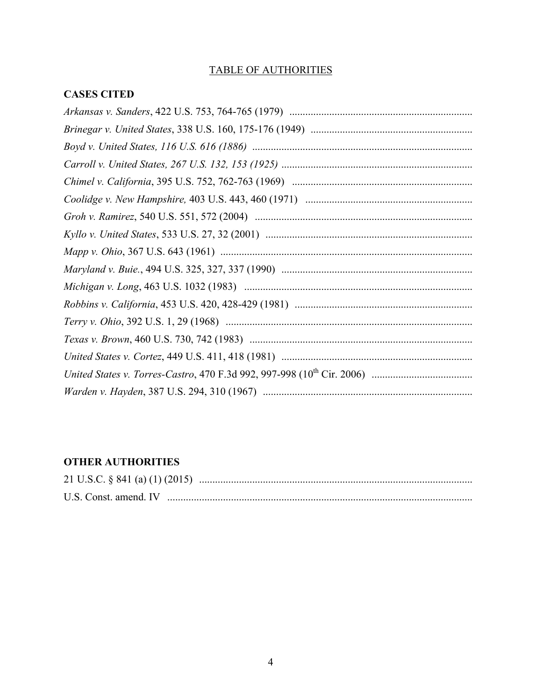## TABLE OF AUTHORITIES

## **CASES CITED**

## **OTHER AUTHORITIES**

| U.S. Const. amend. IV |  |
|-----------------------|--|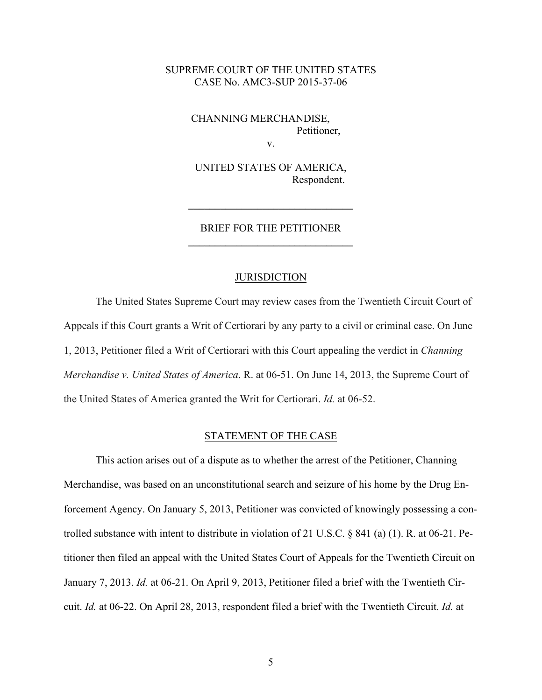#### SUPREME COURT OF THE UNITED STATES CASE No. AMC3-SUP 2015-37-06

CHANNING MERCHANDISE, Petitioner, v.

UNITED STATES OF AMERICA, Respondent.

### BRIEF FOR THE PETITIONER **\_\_\_\_\_\_\_\_\_\_\_\_\_\_\_\_\_\_\_\_\_\_\_\_\_\_\_\_\_\_\_**

**\_\_\_\_\_\_\_\_\_\_\_\_\_\_\_\_\_\_\_\_\_\_\_\_\_\_\_\_\_\_\_**

#### **JURISDICTION**

The United States Supreme Court may review cases from the Twentieth Circuit Court of Appeals if this Court grants a Writ of Certiorari by any party to a civil or criminal case. On June 1, 2013, Petitioner filed a Writ of Certiorari with this Court appealing the verdict in *Channing Merchandise v. United States of America*. R. at 06-51. On June 14, 2013, the Supreme Court of the United States of America granted the Writ for Certiorari. *Id.* at 06-52.

#### STATEMENT OF THE CASE

This action arises out of a dispute as to whether the arrest of the Petitioner, Channing Merchandise, was based on an unconstitutional search and seizure of his home by the Drug Enforcement Agency. On January 5, 2013, Petitioner was convicted of knowingly possessing a controlled substance with intent to distribute in violation of 21 U.S.C. § 841 (a) (1). R. at 06-21. Petitioner then filed an appeal with the United States Court of Appeals for the Twentieth Circuit on January 7, 2013. *Id.* at 06-21. On April 9, 2013, Petitioner filed a brief with the Twentieth Circuit. *Id.* at 06-22. On April 28, 2013, respondent filed a brief with the Twentieth Circuit. *Id.* at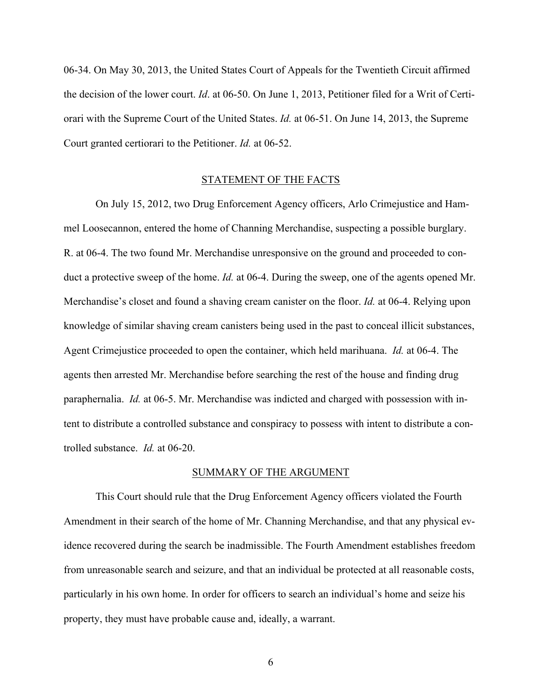06-34. On May 30, 2013, the United States Court of Appeals for the Twentieth Circuit affirmed the decision of the lower court. *Id*. at 06-50. On June 1, 2013, Petitioner filed for a Writ of Certiorari with the Supreme Court of the United States. *Id.* at 06-51. On June 14, 2013, the Supreme Court granted certiorari to the Petitioner. *Id.* at 06-52.

#### STATEMENT OF THE FACTS

On July 15, 2012, two Drug Enforcement Agency officers, Arlo Crimejustice and Hammel Loosecannon, entered the home of Channing Merchandise, suspecting a possible burglary. R. at 06-4. The two found Mr. Merchandise unresponsive on the ground and proceeded to conduct a protective sweep of the home. *Id.* at 06-4. During the sweep, one of the agents opened Mr. Merchandise's closet and found a shaving cream canister on the floor. *Id.* at 06-4. Relying upon knowledge of similar shaving cream canisters being used in the past to conceal illicit substances, Agent Crimejustice proceeded to open the container, which held marihuana. *Id.* at 06-4. The agents then arrested Mr. Merchandise before searching the rest of the house and finding drug paraphernalia. *Id.* at 06-5. Mr. Merchandise was indicted and charged with possession with intent to distribute a controlled substance and conspiracy to possess with intent to distribute a controlled substance. *Id.* at 06-20.

#### SUMMARY OF THE ARGUMENT

This Court should rule that the Drug Enforcement Agency officers violated the Fourth Amendment in their search of the home of Mr. Channing Merchandise, and that any physical evidence recovered during the search be inadmissible. The Fourth Amendment establishes freedom from unreasonable search and seizure, and that an individual be protected at all reasonable costs, particularly in his own home. In order for officers to search an individual's home and seize his property, they must have probable cause and, ideally, a warrant.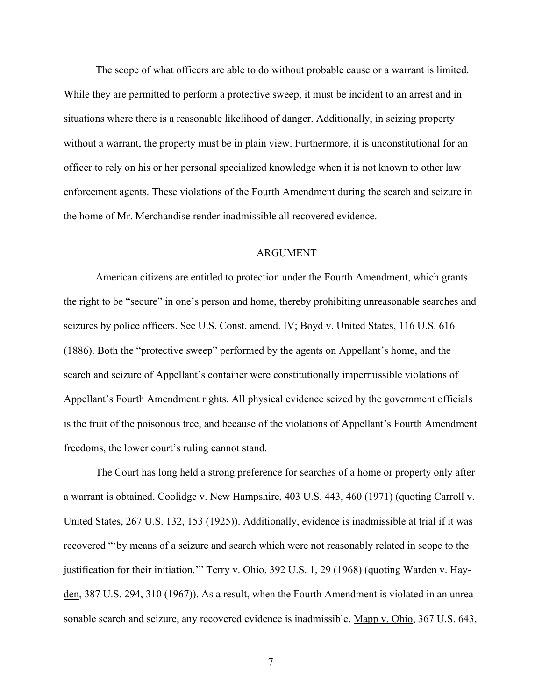The scope of what officers are able to do without probable cause or a warrant is limited. While they are permitted to perform a protective sweep, it must be incident to an arrest and in situations where there is a reasonable likelihood of danger. Additionally, in seizing property without a warrant, the property must be in plain view. Furthermore, it is unconstitutional for an officer to rely on his or her personal specialized knowledge when it is not known to other law enforcement agents. These violations of the Fourth Amendment during the search and seizure in the home of Mr. Merchandise render inadmissible all recovered evidence.

#### ARGUMENT

American citizens are entitled to protection under the Fourth Amendment, which grants the right to be "secure" in one's person and home, thereby prohibiting unreasonable searches and seizures by police officers. See U.S. Const. amend. IV; Boyd v. United States, 116 U.S. 616 (1886). Both the "protective sweep" performed by the agents on Appellant's home, and the search and seizure of Appellant's container were constitutionally impermissible violations of Appellant's Fourth Amendment rights. All physical evidence seized by the government officials is the fruit of the poisonous tree, and because of the violations of Appellant's Fourth Amendment freedoms, the lower court's ruling cannot stand.

The Court has long held a strong preference for searches of a home or property only after a warrant is obtained. Coolidge v. New Hampshire, 403 U.S. 443, 460 (1971) (quoting Carroll v. United States, 267 U.S. 132, 153 (1925)). Additionally, evidence is inadmissible at trial if it was recovered "'by means of a seizure and search which were not reasonably related in scope to the justification for their initiation.'" Terry v. Ohio, 392 U.S. 1, 29 (1968) (quoting Warden v. Hayden, 387 U.S. 294, 310 (1967)). As a result, when the Fourth Amendment is violated in an unreasonable search and seizure, any recovered evidence is inadmissible. Mapp v. Ohio, 367 U.S. 643,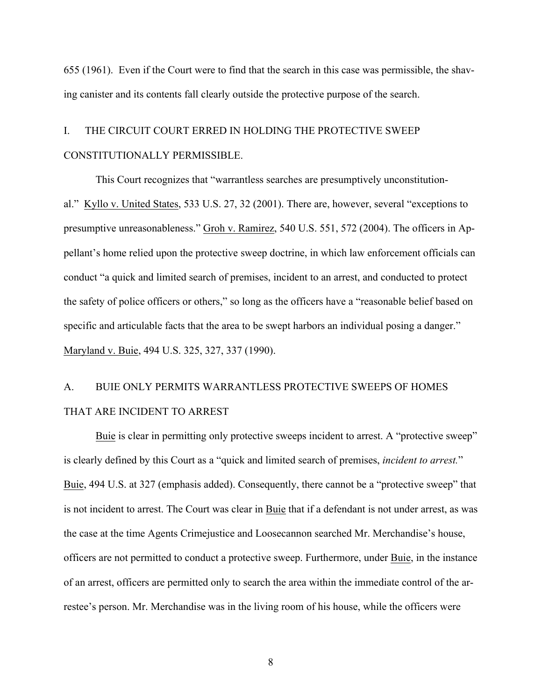655 (1961). Even if the Court were to find that the search in this case was permissible, the shaving canister and its contents fall clearly outside the protective purpose of the search.

# I. THE CIRCUIT COURT ERRED IN HOLDING THE PROTECTIVE SWEEP CONSTITUTIONALLY PERMISSIBLE.

This Court recognizes that "warrantless searches are presumptively unconstitutional." Kyllo v. United States, 533 U.S. 27, 32 (2001). There are, however, several "exceptions to presumptive unreasonableness." Groh v. Ramirez, 540 U.S. 551, 572 (2004). The officers in Appellant's home relied upon the protective sweep doctrine, in which law enforcement officials can conduct "a quick and limited search of premises, incident to an arrest, and conducted to protect the safety of police officers or others," so long as the officers have a "reasonable belief based on specific and articulable facts that the area to be swept harbors an individual posing a danger." Maryland v. Buie, 494 U.S. 325, 327, 337 (1990).

# A. BUIE ONLY PERMITS WARRANTLESS PROTECTIVE SWEEPS OF HOMES THAT ARE INCIDENT TO ARREST

Buie is clear in permitting only protective sweeps incident to arrest. A "protective sweep" is clearly defined by this Court as a "quick and limited search of premises, *incident to arrest.*" Buie, 494 U.S. at 327 (emphasis added). Consequently, there cannot be a "protective sweep" that is not incident to arrest. The Court was clear in Buie that if a defendant is not under arrest, as was the case at the time Agents Crimejustice and Loosecannon searched Mr. Merchandise's house, officers are not permitted to conduct a protective sweep. Furthermore, under Buie, in the instance of an arrest, officers are permitted only to search the area within the immediate control of the arrestee's person. Mr. Merchandise was in the living room of his house, while the officers were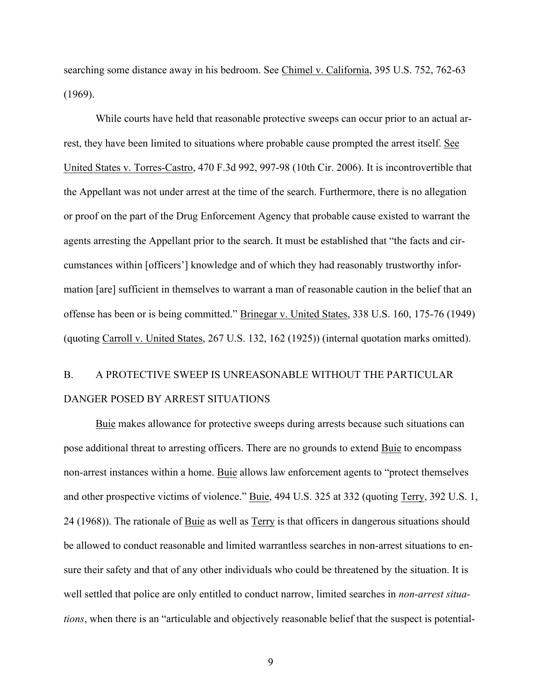searching some distance away in his bedroom. See Chimel v. California, 395 U.S. 752, 762-63 (1969).

While courts have held that reasonable protective sweeps can occur prior to an actual arrest, they have been limited to situations where probable cause prompted the arrest itself. See United States v. Torres-Castro, 470 F.3d 992, 997-98 (10th Cir. 2006). It is incontrovertible that the Appellant was not under arrest at the time of the search. Furthermore, there is no allegation or proof on the part of the Drug Enforcement Agency that probable cause existed to warrant the agents arresting the Appellant prior to the search. It must be established that "the facts and circumstances within [officers'] knowledge and of which they had reasonably trustworthy information [are] sufficient in themselves to warrant a man of reasonable caution in the belief that an offense has been or is being committed." Brinegar v. United States, 338 U.S. 160, 175-76 (1949) (quoting Carroll v. United States, 267 U.S. 132, 162 (1925)) (internal quotation marks omitted).

## B. A PROTECTIVE SWEEP IS UNREASONABLE WITHOUT THE PARTICULAR DANGER POSED BY ARREST SITUATIONS

Buie makes allowance for protective sweeps during arrests because such situations can pose additional threat to arresting officers. There are no grounds to extend Buie to encompass non-arrest instances within a home. Buie allows law enforcement agents to "protect themselves and other prospective victims of violence." Buie, 494 U.S. 325 at 332 (quoting Terry, 392 U.S. 1, 24 (1968)). The rationale of Buie as well as Terry is that officers in dangerous situations should be allowed to conduct reasonable and limited warrantless searches in non-arrest situations to ensure their safety and that of any other individuals who could be threatened by the situation. It is well settled that police are only entitled to conduct narrow, limited searches in *non-arrest situations*, when there is an "articulable and objectively reasonable belief that the suspect is potential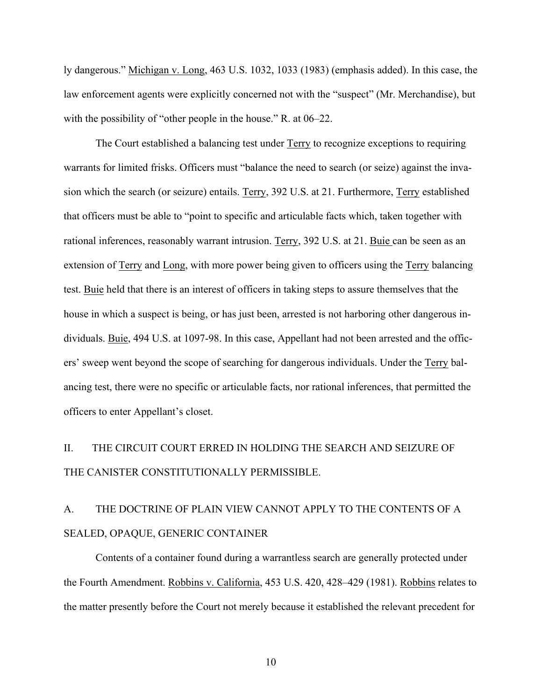ly dangerous." Michigan v. Long, 463 U.S. 1032, 1033 (1983) (emphasis added). In this case, the law enforcement agents were explicitly concerned not with the "suspect" (Mr. Merchandise), but with the possibility of "other people in the house." R. at 06–22.

The Court established a balancing test under Terry to recognize exceptions to requiring warrants for limited frisks. Officers must "balance the need to search (or seize) against the invasion which the search (or seizure) entails. Terry, 392 U.S. at 21. Furthermore, Terry established that officers must be able to "point to specific and articulable facts which, taken together with rational inferences, reasonably warrant intrusion. Terry, 392 U.S. at 21. Buie can be seen as an extension of Terry and Long, with more power being given to officers using the Terry balancing test. Buie held that there is an interest of officers in taking steps to assure themselves that the house in which a suspect is being, or has just been, arrested is not harboring other dangerous individuals. Buie, 494 U.S. at 1097-98. In this case, Appellant had not been arrested and the officers' sweep went beyond the scope of searching for dangerous individuals. Under the Terry balancing test, there were no specific or articulable facts, nor rational inferences, that permitted the officers to enter Appellant's closet.

# II. THE CIRCUIT COURT ERRED IN HOLDING THE SEARCH AND SEIZURE OF THE CANISTER CONSTITUTIONALLY PERMISSIBLE.

# A. THE DOCTRINE OF PLAIN VIEW CANNOT APPLY TO THE CONTENTS OF A SEALED, OPAQUE, GENERIC CONTAINER

Contents of a container found during a warrantless search are generally protected under the Fourth Amendment. Robbins v. California, 453 U.S. 420, 428–429 (1981). Robbins relates to the matter presently before the Court not merely because it established the relevant precedent for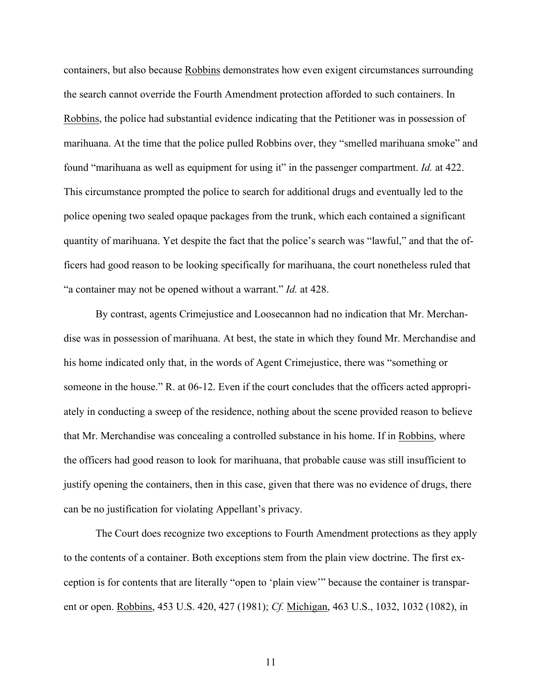containers, but also because Robbins demonstrates how even exigent circumstances surrounding the search cannot override the Fourth Amendment protection afforded to such containers. In Robbins, the police had substantial evidence indicating that the Petitioner was in possession of marihuana. At the time that the police pulled Robbins over, they "smelled marihuana smoke" and found "marihuana as well as equipment for using it" in the passenger compartment. *Id.* at 422. This circumstance prompted the police to search for additional drugs and eventually led to the police opening two sealed opaque packages from the trunk, which each contained a significant quantity of marihuana. Yet despite the fact that the police's search was "lawful," and that the officers had good reason to be looking specifically for marihuana, the court nonetheless ruled that "a container may not be opened without a warrant." *Id.* at 428.

By contrast, agents Crimejustice and Loosecannon had no indication that Mr. Merchandise was in possession of marihuana. At best, the state in which they found Mr. Merchandise and his home indicated only that, in the words of Agent Crimejustice, there was "something or someone in the house." R. at 06-12. Even if the court concludes that the officers acted appropriately in conducting a sweep of the residence, nothing about the scene provided reason to believe that Mr. Merchandise was concealing a controlled substance in his home. If in Robbins, where the officers had good reason to look for marihuana, that probable cause was still insufficient to justify opening the containers, then in this case, given that there was no evidence of drugs, there can be no justification for violating Appellant's privacy.

The Court does recognize two exceptions to Fourth Amendment protections as they apply to the contents of a container. Both exceptions stem from the plain view doctrine. The first exception is for contents that are literally "open to 'plain view'" because the container is transparent or open. Robbins, 453 U.S. 420, 427 (1981); *Cf.* Michigan, 463 U.S., 1032, 1032 (1082), in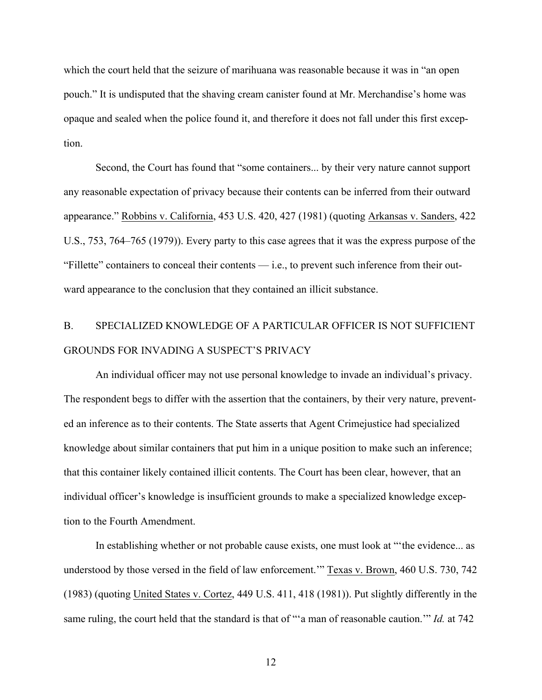which the court held that the seizure of marihuana was reasonable because it was in "an open" pouch." It is undisputed that the shaving cream canister found at Mr. Merchandise's home was opaque and sealed when the police found it, and therefore it does not fall under this first exception.

Second, the Court has found that "some containers... by their very nature cannot support any reasonable expectation of privacy because their contents can be inferred from their outward appearance." Robbins v. California, 453 U.S. 420, 427 (1981) (quoting Arkansas v. Sanders, 422 U.S., 753, 764–765 (1979)). Every party to this case agrees that it was the express purpose of the "Fillette" containers to conceal their contents — i.e., to prevent such inference from their outward appearance to the conclusion that they contained an illicit substance.

# B. SPECIALIZED KNOWLEDGE OF A PARTICULAR OFFICER IS NOT SUFFICIENT GROUNDS FOR INVADING A SUSPECT'S PRIVACY

An individual officer may not use personal knowledge to invade an individual's privacy. The respondent begs to differ with the assertion that the containers, by their very nature, prevented an inference as to their contents. The State asserts that Agent Crimejustice had specialized knowledge about similar containers that put him in a unique position to make such an inference; that this container likely contained illicit contents. The Court has been clear, however, that an individual officer's knowledge is insufficient grounds to make a specialized knowledge exception to the Fourth Amendment.

In establishing whether or not probable cause exists, one must look at "'the evidence... as understood by those versed in the field of law enforcement.'" Texas v. Brown, 460 U.S. 730, 742 (1983) (quoting United States v. Cortez, 449 U.S. 411, 418 (1981)). Put slightly differently in the same ruling, the court held that the standard is that of "'a man of reasonable caution.'" *Id.* at 742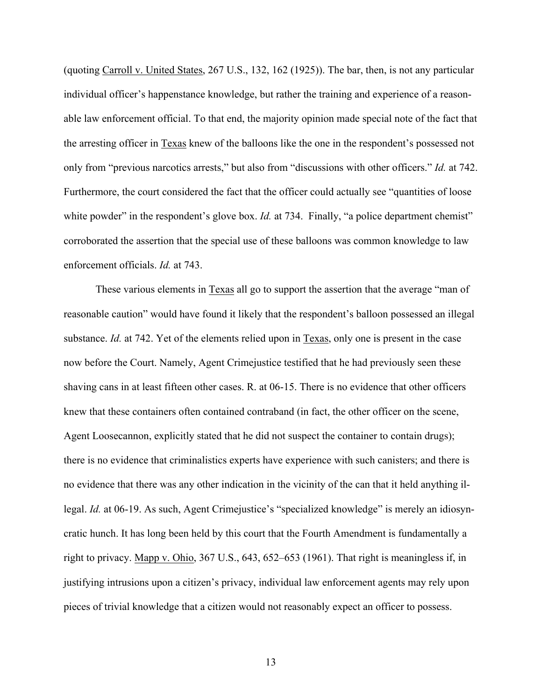(quoting Carroll v. United States, 267 U.S., 132, 162 (1925)). The bar, then, is not any particular individual officer's happenstance knowledge, but rather the training and experience of a reasonable law enforcement official. To that end, the majority opinion made special note of the fact that the arresting officer in Texas knew of the balloons like the one in the respondent's possessed not only from "previous narcotics arrests," but also from "discussions with other officers." *Id.* at 742. Furthermore, the court considered the fact that the officer could actually see "quantities of loose" white powder" in the respondent's glove box. *Id.* at 734. Finally, "a police department chemist" corroborated the assertion that the special use of these balloons was common knowledge to law enforcement officials. *Id.* at 743.

These various elements in Texas all go to support the assertion that the average "man of reasonable caution" would have found it likely that the respondent's balloon possessed an illegal substance. *Id.* at 742. Yet of the elements relied upon in Texas, only one is present in the case now before the Court. Namely, Agent Crimejustice testified that he had previously seen these shaving cans in at least fifteen other cases. R. at 06-15. There is no evidence that other officers knew that these containers often contained contraband (in fact, the other officer on the scene, Agent Loosecannon, explicitly stated that he did not suspect the container to contain drugs); there is no evidence that criminalistics experts have experience with such canisters; and there is no evidence that there was any other indication in the vicinity of the can that it held anything illegal. *Id.* at 06-19. As such, Agent Crimejustice's "specialized knowledge" is merely an idiosyncratic hunch. It has long been held by this court that the Fourth Amendment is fundamentally a right to privacy. Mapp v. Ohio, 367 U.S., 643, 652–653 (1961). That right is meaningless if, in justifying intrusions upon a citizen's privacy, individual law enforcement agents may rely upon pieces of trivial knowledge that a citizen would not reasonably expect an officer to possess.